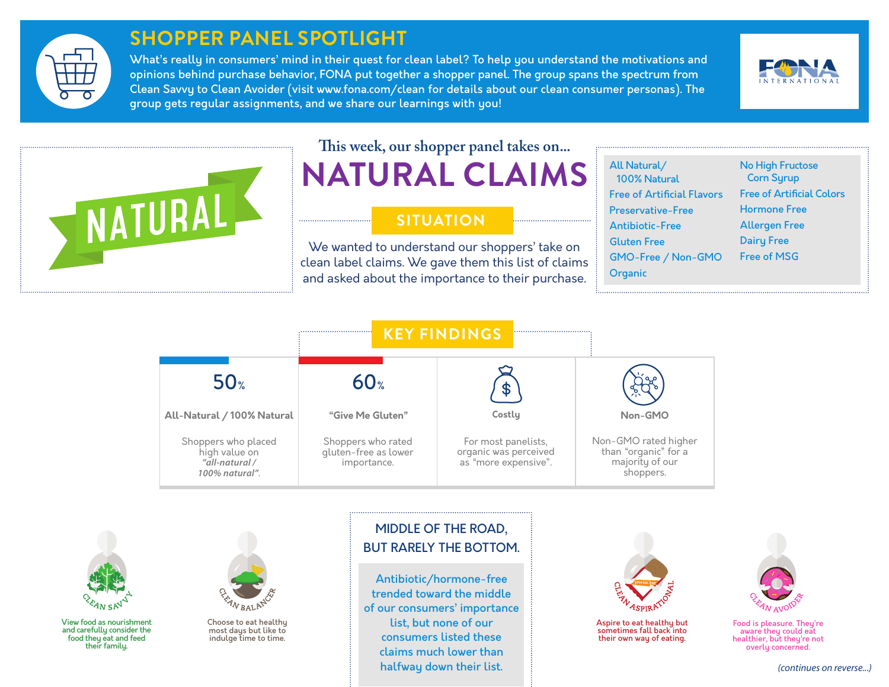

# **SHOPPER PANEL SPOTLIGHT**

What's really in consumers' mind in their quest for clean label? To help you understand the motivations and opinions behind purchase behavior, FONA put together a shopper panel. The group spans the spectrum from Clean Savvy to Clean Avoider (visit www.fona.com/clean for details about our clean consumer personas). The group gets regular assignments, and we share our learnings with you!





# **This week, our shopper panel takes on...**

**NATURAL CLAIMS**

### **SITUATION**

We wanted to understand our shoppers' take on clean label claims. We gave them this list of claims and asked about the importance to their purchase.

| All Natural/<br><b>Free of Artificial Flavors</b><br><b>Preservative-Free</b><br><b>Antibiotic-Free</b><br><b>Gluten Free</b><br>GMO-Free / Non-GMO<br>Organic |
|----------------------------------------------------------------------------------------------------------------------------------------------------------------|

No High Fructose Corn Syrup Free of Artificial Colors Hormone Free Allergen Free Dairy Free Free of MSG





View food as nourishment and carefully consider the food they eat and feed<br>their family.



Choose to eat healthy most days but like to indulge time to time.

### MIDDLE OF THE ROAD, BUT RARELY THE BOTTOM.

Antibiotic/hormone-free trended toward the middle of our consumers' importance list, but none of our consumers listed these claims much lower than halfway down their list.



Aspire to eat healthy but sometimes fall back into their own way of eating.



Food is pleasure. They're aware they could eat healthier, but they're not overly concerned.